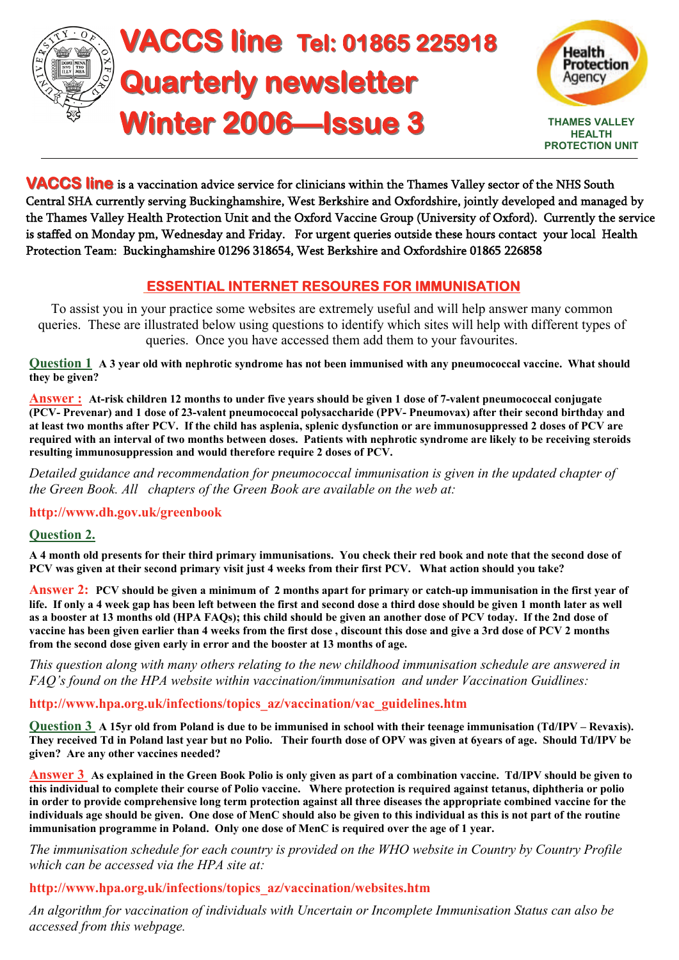



**VACCS line** is a vaccination advice service for clinicians within the Thames Valley sector of the NHS South Central SHA currently serving Buckinghamshire, West Berkshire and Oxfordshire, jointly developed and managed by the Thames Valley Health Protection Unit and the Oxford Vaccine Group (University of Oxford). Currently the service is staffed on Monday pm, Wednesday and Friday. For urgent queries outside these hours contact your local Health Protection Team: Buckinghamshire 01296 318654, West Berkshire and Oxfordshire 01865 226858

# **ESSENTIAL INTERNET RESOURES FOR IMMUNISATION**

To assist you in your practice some websites are extremely useful and will help answer many common queries. These are illustrated below using questions to identify which sites will help with different types of queries. Once you have accessed them add them to your favourites.

**Question 1 A 3 year old with nephrotic syndrome has not been immunised with any pneumococcal vaccine. What should they be given?** 

**Answer : At-risk children 12 months to under five years should be given 1 dose of 7-valent pneumococcal conjugate (PCV- Prevenar) and 1 dose of 23-valent pneumococcal polysaccharide (PPV- Pneumovax) after their second birthday and at least two months after PCV. If the child has asplenia, splenic dysfunction or are immunosuppressed 2 doses of PCV are required with an interval of two months between doses. Patients with nephrotic syndrome are likely to be receiving steroids resulting immunosuppression and would therefore require 2 doses of PCV.** 

*Detailed guidance and recommendation for pneumococcal immunisation is given in the updated chapter of the Green Book. All chapters of the Green Book are available on the web at:* 

### **http://www.dh.gov.uk/greenbook**

### **Question 2.**

**A 4 month old presents for their third primary immunisations. You check their red book and note that the second dose of PCV was given at their second primary visit just 4 weeks from their first PCV. What action should you take?** 

**Answer 2: PCV should be given a minimum of 2 months apart for primary or catch-up immunisation in the first year of life. If only a 4 week gap has been left between the first and second dose a third dose should be given 1 month later as well as a booster at 13 months old (HPA FAQs); this child should be given an another dose of PCV today. If the 2nd dose of vaccine has been given earlier than 4 weeks from the first dose , discount this dose and give a 3rd dose of PCV 2 months from the second dose given early in error and the booster at 13 months of age.** 

*This question along with many others relating to the new childhood immunisation schedule are answered in FAQ's found on the HPA website within vaccination/immunisation and under Vaccination Guidlines:* 

### **http://www.hpa.org.uk/infections/topics\_az/vaccination/vac\_guidelines.htm**

**Question 3 A 15yr old from Poland is due to be immunised in school with their teenage immunisation (Td/IPV – Revaxis). They received Td in Poland last year but no Polio. Their fourth dose of OPV was given at 6years of age. Should Td/IPV be given? Are any other vaccines needed?** 

**Answer 3 As explained in the Green Book Polio is only given as part of a combination vaccine. Td/IPV should be given to this individual to complete their course of Polio vaccine. Where protection is required against tetanus, diphtheria or polio in order to provide comprehensive long term protection against all three diseases the appropriate combined vaccine for the individuals age should be given. One dose of MenC should also be given to this individual as this is not part of the routine immunisation programme in Poland. Only one dose of MenC is required over the age of 1 year.** 

*The immunisation schedule for each country is provided on the WHO website in Country by Country Profile which can be accessed via the HPA site at:* 

### **http://www.hpa.org.uk/infections/topics\_az/vaccination/websites.htm**

*An algorithm for vaccination of individuals with Uncertain or Incomplete Immunisation Status can also be accessed from this webpage.*